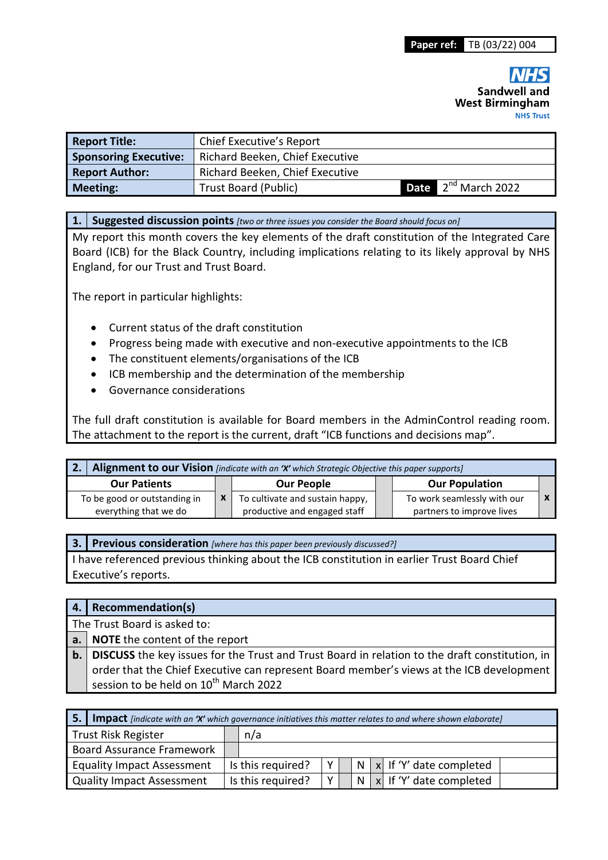| <b>Report Title:</b>         | Chief Executive's Report        |  |                                 |  |  |
|------------------------------|---------------------------------|--|---------------------------------|--|--|
| <b>Sponsoring Executive:</b> | Richard Beeken, Chief Executive |  |                                 |  |  |
| <b>Report Author:</b>        | Richard Beeken, Chief Executive |  |                                 |  |  |
| <b>Meeting:</b>              | <b>Trust Board (Public)</b>     |  | <b>Date</b> $2^{nd}$ March 2022 |  |  |

#### **1. Suggested discussion points** *[two or three issues you consider the Board should focus on]*

My report this month covers the key elements of the draft constitution of the Integrated Care Board (ICB) for the Black Country, including implications relating to its likely approval by NHS England, for our Trust and Trust Board.

The report in particular highlights:

- Current status of the draft constitution
- Progress being made with executive and non-executive appointments to the ICB
- The constituent elements/organisations of the ICB
- ICB membership and the determination of the membership
- Governance considerations

The full draft constitution is available for Board members in the AdminControl reading room. The attachment to the report is the current, draft "ICB functions and decisions map".

| 2. Alignment to our Vision [indicate with an 'X' which Strategic Objective this paper supports] |  |                                                                 |  |                                                          |  |
|-------------------------------------------------------------------------------------------------|--|-----------------------------------------------------------------|--|----------------------------------------------------------|--|
| <b>Our Patients</b>                                                                             |  | <b>Our People</b>                                               |  | <b>Our Population</b>                                    |  |
| To be good or outstanding in<br>everything that we do                                           |  | To cultivate and sustain happy,<br>productive and engaged staff |  | To work seamlessly with our<br>partners to improve lives |  |

**3. Previous consideration** *[where has this paper been previously discussed?]*

I have referenced previous thinking about the ICB constitution in earlier Trust Board Chief Executive's reports.

| 4.   Recommendation(s)                                                                                   |
|----------------------------------------------------------------------------------------------------------|
| The Trust Board is asked to:                                                                             |
| a. NOTE the content of the report                                                                        |
| <b>b.</b> DISCUSS the key issues for the Trust and Trust Board in relation to the draft constitution, in |
| order that the Chief Executive can represent Board member's views at the ICB development                 |
| session to be held on 10 <sup>th</sup> March 2022                                                        |

| -5.                               | <b>Impact</b> [indicate with an 'X' which governance initiatives this matter relates to and where shown elaborate] |                   |          |  |  |  |                                 |
|-----------------------------------|--------------------------------------------------------------------------------------------------------------------|-------------------|----------|--|--|--|---------------------------------|
| <b>Trust Risk Register</b>        |                                                                                                                    | n/a               |          |  |  |  |                                 |
| <b>Board Assurance Framework</b>  |                                                                                                                    |                   |          |  |  |  |                                 |
| <b>Equality Impact Assessment</b> |                                                                                                                    | Is this required? | $\vee$ 1 |  |  |  | N   x   If 'Y' date completed   |
| <b>Quality Impact Assessment</b>  |                                                                                                                    | Is this required? | v        |  |  |  | $N   x  $ If 'Y' date completed |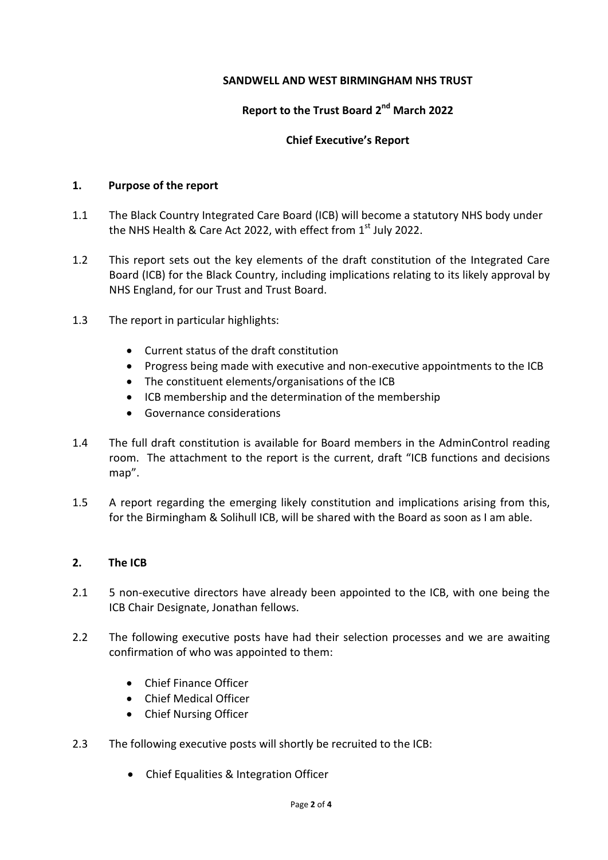### **SANDWELL AND WEST BIRMINGHAM NHS TRUST**

# **Report to the Trust Board 2nd March 2022**

### **Chief Executive's Report**

### **1. Purpose of the report**

- 1.1 The Black Country Integrated Care Board (ICB) will become a statutory NHS body under the NHS Health & Care Act 2022, with effect from 1<sup>st</sup> July 2022.
- 1.2 This report sets out the key elements of the draft constitution of the Integrated Care Board (ICB) for the Black Country, including implications relating to its likely approval by NHS England, for our Trust and Trust Board.
- 1.3 The report in particular highlights:
	- Current status of the draft constitution
	- Progress being made with executive and non-executive appointments to the ICB
	- The constituent elements/organisations of the ICB
	- ICB membership and the determination of the membership
	- **•** Governance considerations
- 1.4 The full draft constitution is available for Board members in the AdminControl reading room. The attachment to the report is the current, draft "ICB functions and decisions map".
- 1.5 A report regarding the emerging likely constitution and implications arising from this, for the Birmingham & Solihull ICB, will be shared with the Board as soon as I am able.

### **2. The ICB**

- 2.1 5 non-executive directors have already been appointed to the ICB, with one being the ICB Chair Designate, Jonathan fellows.
- 2.2 The following executive posts have had their selection processes and we are awaiting confirmation of who was appointed to them:
	- Chief Finance Officer
	- Chief Medical Officer
	- Chief Nursing Officer
- 2.3 The following executive posts will shortly be recruited to the ICB:
	- Chief Equalities & Integration Officer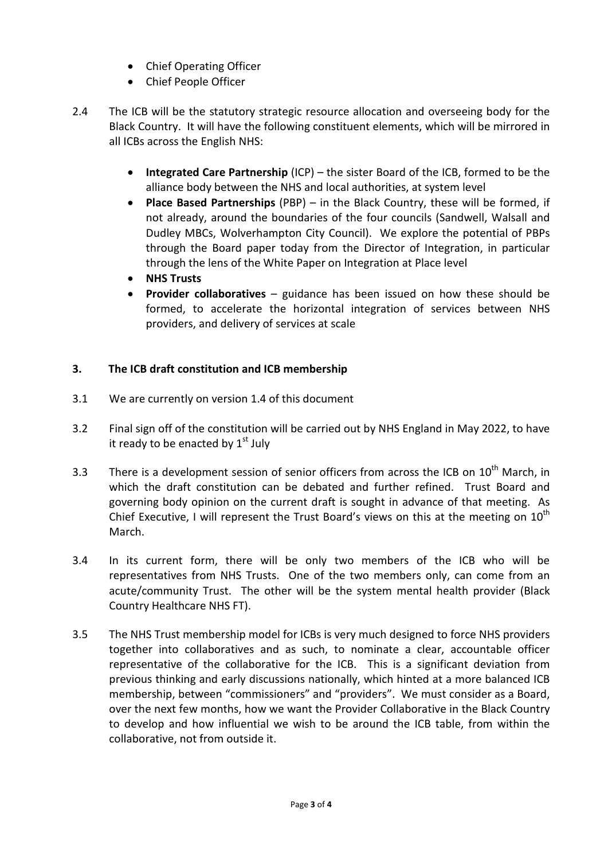- Chief Operating Officer
- Chief People Officer
- 2.4 The ICB will be the statutory strategic resource allocation and overseeing body for the Black Country. It will have the following constituent elements, which will be mirrored in all ICBs across the English NHS:
	- **Integrated Care Partnership** (ICP) the sister Board of the ICB, formed to be the alliance body between the NHS and local authorities, at system level
	- **Place Based Partnerships** (PBP) in the Black Country, these will be formed, if not already, around the boundaries of the four councils (Sandwell, Walsall and Dudley MBCs, Wolverhampton City Council). We explore the potential of PBPs through the Board paper today from the Director of Integration, in particular through the lens of the White Paper on Integration at Place level
	- **NHS Trusts**
	- **Provider collaboratives**  guidance has been issued on how these should be formed, to accelerate the horizontal integration of services between NHS providers, and delivery of services at scale

# **3. The ICB draft constitution and ICB membership**

- 3.1 We are currently on version 1.4 of this document
- 3.2 Final sign off of the constitution will be carried out by NHS England in May 2022, to have it ready to be enacted by  $1<sup>st</sup>$  July
- 3.3 There is a development session of senior officers from across the ICB on  $10^{th}$  March, in which the draft constitution can be debated and further refined. Trust Board and governing body opinion on the current draft is sought in advance of that meeting. As Chief Executive, I will represent the Trust Board's views on this at the meeting on  $10^{th}$ March.
- 3.4 In its current form, there will be only two members of the ICB who will be representatives from NHS Trusts. One of the two members only, can come from an acute/community Trust. The other will be the system mental health provider (Black Country Healthcare NHS FT).
- 3.5 The NHS Trust membership model for ICBs is very much designed to force NHS providers together into collaboratives and as such, to nominate a clear, accountable officer representative of the collaborative for the ICB. This is a significant deviation from previous thinking and early discussions nationally, which hinted at a more balanced ICB membership, between "commissioners" and "providers". We must consider as a Board, over the next few months, how we want the Provider Collaborative in the Black Country to develop and how influential we wish to be around the ICB table, from within the collaborative, not from outside it.